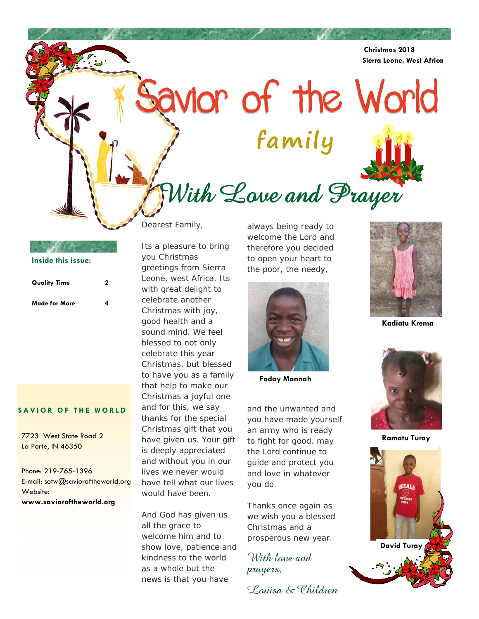**Christmas 2018 Sierra Leone, West Africa** 

Savior of the World **family** 



With Love and Prayer

# **Inside this issue:**

| <b>Quality Time</b> | 2 |
|---------------------|---|
| Made for More       | Δ |

### **SAVIOR OF THE WORLD**

7723 West State Road 2 La Porte, IN 46350

Phone: 219-765-1396 E-mail: sotw@savioroftheworld.org Website: **www.savioroftheworld.org** 

Dearest Family,

Its a pleasure to bring you Christmas greetings from Sierra Leone, west Africa. Its with great delight to celebrate another Christmas with joy, good health and a sound mind. We feel blessed to not only celebrate this year Christmas, but blessed to have you as a family that help to make our Christmas a joyful one and for this, we say thanks for the special Christmas gift that you have given us. Your gift is deeply appreciated and without you in our lives we never would have tell what our lives would have been.

And God has given us all the grace to welcome him and to show love, patience and kindness to the world as a whole but the news is that you have

always being ready to welcome the Lord and therefore you decided to open your heart to the poor, the needy,



 **Foday Mannah** 

and the unwanted and you have made yourself an army who is ready to fight for good. may the Lord continue to guide and protect you and love in whatever you do.

Thanks once again as we wish you a blessed Christmas and a prosperous new year.

With love and prayers,





 **Kadiatu Krema** 



 **Ramatu Turay** 

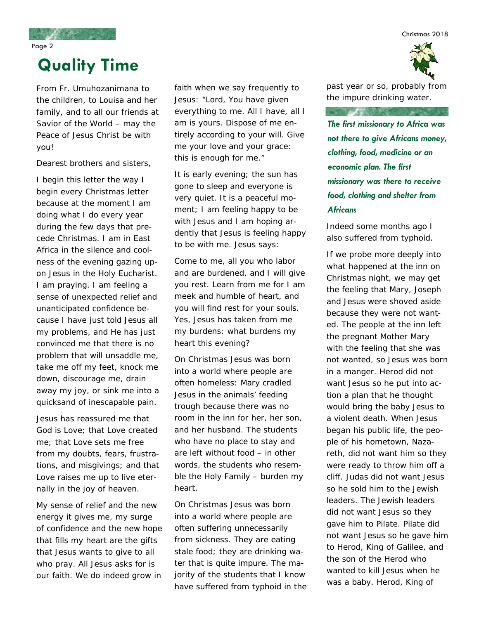Christmas 2018

Page 2

# **Quality Time**

From Fr. Umuhozanimana to the children, to Louisa and her family, and to all our friends at Savior of the World – may the Peace of Jesus Christ be with you!

Dearest brothers and sisters,

I begin this letter the way I begin every Christmas letter because at the moment I am doing what I do every year during the few days that precede Christmas. I am in East Africa in the silence and coolness of the evening gazing upon Jesus in the Holy Eucharist. I am praying. I am feeling a sense of unexpected relief and unanticipated confidence because I have just told Jesus all my problems, and He has just convinced me that there is no problem that will unsaddle me, take me off my feet, knock me down, discourage me, drain away my joy, or sink me into a quicksand of inescapable pain.

Jesus has reassured me that God is Love; that Love created me; that Love sets me free from my doubts, fears, frustrations, and misgivings; and that Love raises me up to live eternally in the joy of heaven.

My sense of relief and the new energy it gives me, my surge of confidence and the new hope that fills my heart are the gifts that Jesus wants to give to all who pray. All Jesus asks for is our faith. We do indeed grow in

faith when we say frequently to Jesus: "Lord, You have given everything to me. All I have, all I am is yours. Dispose of me entirely according to your will. Give me your love and your grace: this is enough for me."

It is early evening; the sun has gone to sleep and everyone is very quiet. It is a peaceful moment; I am feeling happy to be with Jesus and I am hoping ardently that Jesus is feeling happy to be with me. Jesus says:

Come to me, all you who labor and are burdened, and I will give you rest. Learn from me for I am meek and humble of heart, and you will find rest for your souls. Yes, Jesus has taken from me my burdens: what burdens my heart this evening?

On Christmas Jesus was born into a world where people are often homeless: Mary cradled Jesus in the animals' feeding trough because there was no room in the inn for her, her son, and her husband. The students who have no place to stay and are left without food – in other words, the students who resemble the Holy Family – burden my heart.

On Christmas Jesus was born into a world where people are often suffering unnecessarily from sickness. They are eating stale food; they are drinking water that is quite impure. The majority of the students that I know have suffered from typhoid in the past year or so, probably from the impure drinking water.

**ISO DAY OF THE SAME OF THE SAME OF THE SAME OF THE SAME OF THE SAME OF THE SAME OF THE SAME OF THE SAME OF THE** 

*The first missionary to Africa was not there to give Africans money, clothing, food, medicine or an economic plan. The first missionary was there to receive food, clothing and shelter from Africans* 

Indeed some months ago I also suffered from typhoid.

If we probe more deeply into what happened at the inn on Christmas night, we may get the feeling that Mary, Joseph and Jesus were shoved aside because they were not wanted. The people at the inn left the pregnant Mother Mary with the feeling that she was not wanted, so Jesus was born in a manger. Herod did not want Jesus so he put into action a plan that he thought would bring the baby Jesus to a violent death. When Jesus began his public life, the people of his hometown, Nazareth, did not want him so they were ready to throw him off a cliff. Judas did not want Jesus so he sold him to the Jewish leaders. The Jewish leaders did not want Jesus so they gave him to Pilate. Pilate did not want Jesus so he gave him to Herod, King of Galilee, and the son of the Herod who wanted to kill Jesus when he was a baby. Herod, King of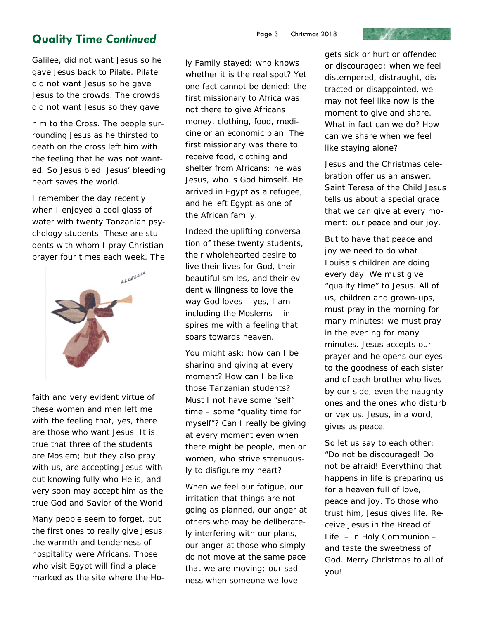### **Quality Time Continued** Page 3 Christmas 2018

Galilee, did not want Jesus so he gave Jesus back to Pilate. Pilate did not want Jesus so he gave Jesus to the crowds. The crowds did not want Jesus so they gave

him to the Cross. The people surrounding Jesus as he thirsted to death on the cross left him with the feeling that he was not wanted. So Jesus bled. Jesus' bleeding heart saves the world.

I remember the day recently when I enjoyed a cool glass of water with twenty Tanzanian psychology students. These are students with whom I pray Christian prayer four times each week. The



faith and very evident virtue of these women and men left me with the feeling that, yes, there are those who want Jesus. It is true that three of the students are Moslem; but they also pray with us, are accepting Jesus without knowing fully who He is, and very soon may accept him as the true God and Savior of the World.

Many people seem to forget, but the first ones to really give Jesus the warmth and tenderness of hospitality were Africans. Those who visit Egypt will find a place marked as the site where the Holy Family stayed: who knows whether it is the real spot? Yet one fact cannot be denied: the first missionary to Africa was not there to give Africans money, clothing, food, medicine or an economic plan. The first missionary was there to receive food, clothing and shelter from Africans: he was Jesus, who is God himself. He arrived in Egypt as a refugee, and he left Egypt as one of the African family.

Indeed the uplifting conversation of these twenty students, their wholehearted desire to live their lives for God, their beautiful smiles, and their evident willingness to love the way God loves – yes, I am including the Moslems – inspires me with a feeling that soars towards heaven.

You might ask: how can I be sharing and giving at every moment? How can I be like those Tanzanian students? Must I not have some "self" time – some "quality time for myself"? Can I really be giving at every moment even when there might be people, men or women, who strive strenuously to disfigure my heart?

When we feel our fatigue, our irritation that things are not going as planned, our anger at others who may be deliberately interfering with our plans, our anger at those who simply do not move at the same pace that we are moving; our sadness when someone we love

gets sick or hurt or offended or discouraged; when we feel distempered, distraught, distracted or disappointed, we may not feel like now is the moment to give and share. What in fact can we do? How can we share when we feel like staying alone?

**Contract Contract Contract Contract Contract** 

Jesus and the Christmas celebration offer us an answer. Saint Teresa of the Child Jesus tells us about a special grace that we can give at every moment: our peace and our joy.

But to have that peace and joy we need to do what Louisa's children are doing every day. We must give "quality time" to Jesus. All of us, children and grown-ups, must pray in the morning for many minutes; we must pray in the evening for many minutes. Jesus accepts our prayer and he opens our eyes to the goodness of each sister and of each brother who lives by our side, even the naughty ones and the ones who disturb or vex us. Jesus, in a word, gives us peace.

So let us say to each other: "Do not be discouraged! Do not be afraid! Everything that happens in life is preparing us for a heaven full of love, peace and joy. To those who trust him, Jesus gives life. Receive Jesus in the Bread of Life – in Holy Communion – and taste the sweetness of God. Merry Christmas to all of you!